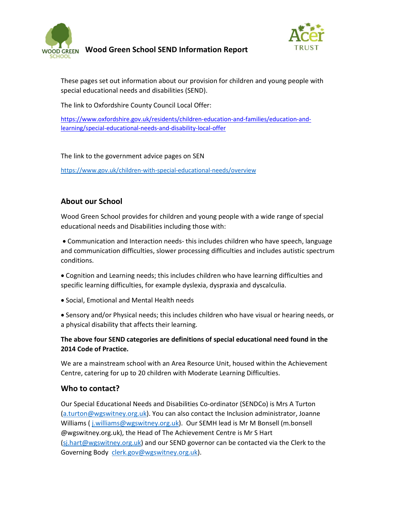

Wood Green School SEND Information Report



These pages set out information about our provision for children and young people with special educational needs and disabilities (SEND).

The link to Oxfordshire County Council Local Offer:

https://www.oxfordshire.gov.uk/residents/children-education-and-families/education-andlearning/special-educational-needs-and-disability-local-offer

The link to the government advice pages on SEN

https://www.gov.uk/children-with-special-educational-needs/overview

## About our School

Wood Green School provides for children and young people with a wide range of special educational needs and Disabilities including those with:

 Communication and Interaction needs- this includes children who have speech, language and communication difficulties, slower processing difficulties and includes autistic spectrum conditions.

 Cognition and Learning needs; this includes children who have learning difficulties and specific learning difficulties, for example dyslexia, dyspraxia and dyscalculia.

Social, Emotional and Mental Health needs

 Sensory and/or Physical needs; this includes children who have visual or hearing needs, or a physical disability that affects their learning.

#### The above four SEND categories are definitions of special educational need found in the 2014 Code of Practice.

We are a mainstream school with an Area Resource Unit, housed within the Achievement Centre, catering for up to 20 children with Moderate Learning Difficulties.

### Who to contact?

Our Special Educational Needs and Disabilities Co-ordinator (SENDCo) is Mrs A Turton (a.turton@wgswitney.org.uk). You can also contact the Inclusion administrator, Joanne Williams ( j.williams@wgswitney.org.uk). Our SEMH lead is Mr M Bonsell (m.bonsell @wgswitney.org.uk), the Head of The Achievement Centre is Mr S Hart (sj.hart@wgswitney.org.uk) and our SEND governor can be contacted via the Clerk to the Governing Body clerk.gov@wgswitney.org.uk).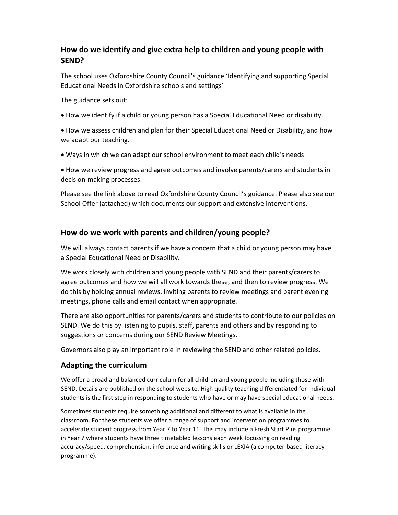# How do we identify and give extra help to children and young people with SEND?

The school uses Oxfordshire County Council's guidance 'Identifying and supporting Special Educational Needs in Oxfordshire schools and settings'

The guidance sets out:

- How we identify if a child or young person has a Special Educational Need or disability.
- How we assess children and plan for their Special Educational Need or Disability, and how we adapt our teaching.
- Ways in which we can adapt our school environment to meet each child's needs
- How we review progress and agree outcomes and involve parents/carers and students in decision-making processes.

Please see the link above to read Oxfordshire County Council's guidance. Please also see our School Offer (attached) which documents our support and extensive interventions.

## How do we work with parents and children/young people?

We will always contact parents if we have a concern that a child or young person may have a Special Educational Need or Disability.

We work closely with children and young people with SEND and their parents/carers to agree outcomes and how we will all work towards these, and then to review progress. We do this by holding annual reviews, inviting parents to review meetings and parent evening meetings, phone calls and email contact when appropriate.

There are also opportunities for parents/carers and students to contribute to our policies on SEND. We do this by listening to pupils, staff, parents and others and by responding to suggestions or concerns during our SEND Review Meetings.

Governors also play an important role in reviewing the SEND and other related policies.

### Adapting the curriculum

We offer a broad and balanced curriculum for all children and young people including those with SEND. Details are published on the school website. High quality teaching differentiated for individual students is the first step in responding to students who have or may have special educational needs.

Sometimes students require something additional and different to what is available in the classroom. For these students we offer a range of support and intervention programmes to accelerate student progress from Year 7 to Year 11. This may include a Fresh Start Plus programme in Year 7 where students have three timetabled lessons each week focussing on reading accuracy/speed, comprehension, inference and writing skills or LEXIA (a computer-based literacy programme).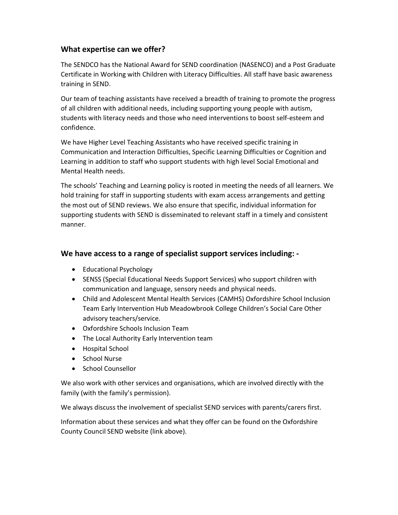### What expertise can we offer?

The SENDCO has the National Award for SEND coordination (NASENCO) and a Post Graduate Certificate in Working with Children with Literacy Difficulties. All staff have basic awareness training in SEND.

Our team of teaching assistants have received a breadth of training to promote the progress of all children with additional needs, including supporting young people with autism, students with literacy needs and those who need interventions to boost self-esteem and confidence.

We have Higher Level Teaching Assistants who have received specific training in Communication and Interaction Difficulties, Specific Learning Difficulties or Cognition and Learning in addition to staff who support students with high level Social Emotional and Mental Health needs.

The schools' Teaching and Learning policy is rooted in meeting the needs of all learners. We hold training for staff in supporting students with exam access arrangements and getting the most out of SEND reviews. We also ensure that specific, individual information for supporting students with SEND is disseminated to relevant staff in a timely and consistent manner.

## We have access to a range of specialist support services including: -

- Educational Psychology
- SENSS (Special Educational Needs Support Services) who support children with communication and language, sensory needs and physical needs.
- Child and Adolescent Mental Health Services (CAMHS) Oxfordshire School Inclusion Team Early Intervention Hub Meadowbrook College Children's Social Care Other advisory teachers/service.
- Oxfordshire Schools Inclusion Team
- The Local Authority Early Intervention team
- Hospital School
- School Nurse
- School Counsellor

We also work with other services and organisations, which are involved directly with the family (with the family's permission).

We always discuss the involvement of specialist SEND services with parents/carers first.

Information about these services and what they offer can be found on the Oxfordshire County Council SEND website (link above).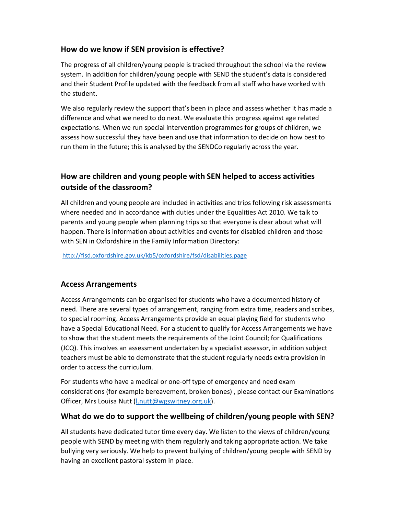# How do we know if SEN provision is effective?

The progress of all children/young people is tracked throughout the school via the review system. In addition for children/young people with SEND the student's data is considered and their Student Profile updated with the feedback from all staff who have worked with the student.

We also regularly review the support that's been in place and assess whether it has made a difference and what we need to do next. We evaluate this progress against age related expectations. When we run special intervention programmes for groups of children, we assess how successful they have been and use that information to decide on how best to run them in the future; this is analysed by the SENDCo regularly across the year.

# How are children and young people with SEN helped to access activities outside of the classroom?

All children and young people are included in activities and trips following risk assessments where needed and in accordance with duties under the Equalities Act 2010. We talk to parents and young people when planning trips so that everyone is clear about what will happen. There is information about activities and events for disabled children and those with SEN in Oxfordshire in the Family Information Directory:

http://fisd.oxfordshire.gov.uk/kb5/oxfordshire/fsd/disabilities.page

# Access Arrangements

Access Arrangements can be organised for students who have a documented history of need. There are several types of arrangement, ranging from extra time, readers and scribes, to special rooming. Access Arrangements provide an equal playing field for students who have a Special Educational Need. For a student to qualify for Access Arrangements we have to show that the student meets the requirements of the Joint Council; for Qualifications (JCQ). This involves an assessment undertaken by a specialist assessor, in addition subject teachers must be able to demonstrate that the student regularly needs extra provision in order to access the curriculum.

For students who have a medical or one-off type of emergency and need exam considerations (for example bereavement, broken bones) , please contact our Examinations Officer, Mrs Louisa Nutt (l.nutt@wgswitney.org.uk).

### What do we do to support the wellbeing of children/young people with SEN?

All students have dedicated tutor time every day. We listen to the views of children/young people with SEND by meeting with them regularly and taking appropriate action. We take bullying very seriously. We help to prevent bullying of children/young people with SEND by having an excellent pastoral system in place.